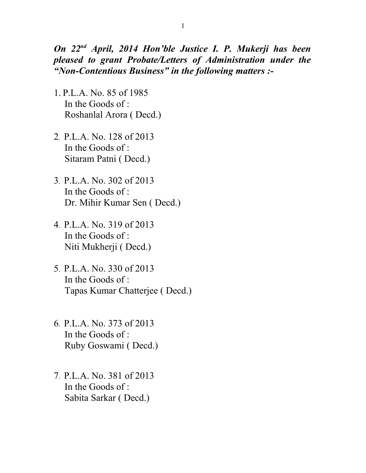*On 22nd April, 2014 Hon'ble Justice I. P. Mukerji has been pleased to grant Probate/Letters of Administration under the "Non-Contentious Business" in the following matters :-*

- 1. P.L.A. No. 85 of 1985 In the Goods of : Roshanlal Arora ( Decd.)
- 2. P.L.A. No. 128 of 2013 In the Goods of : Sitaram Patni ( Decd.)
- 3. P.L.A. No. 302 of 2013 In the Goods of : Dr. Mihir Kumar Sen ( Decd.)
- 4. P.L.A. No. 319 of 2013 In the Goods of : Niti Mukherji ( Decd.)
- 5. P.L.A. No. 330 of 2013 In the Goods of : Tapas Kumar Chatterjee ( Decd.)
- 6. P.L.A. No. 373 of 2013 In the Goods of : Ruby Goswami ( Decd.)
- 7. P.L.A. No. 381 of 2013 In the Goods of : Sabita Sarkar ( Decd.)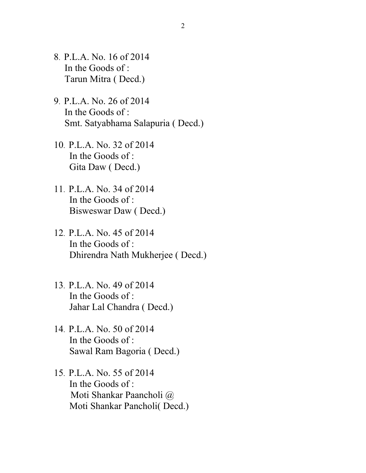- 8. P.L.A. No. 16 of 2014 In the Goods of : Tarun Mitra ( Decd.)
- 9. P.L.A. No. 26 of 2014 In the Goods of : Smt. Satyabhama Salapuria ( Decd.)
- 10. P.L.A. No. 32 of 2014 In the Goods of : Gita Daw ( Decd.)
- 11. P.L.A. No. 34 of 2014 In the Goods of : Bisweswar Daw ( Decd.)
- 12. P.L.A. No. 45 of 2014 In the Goods of : Dhirendra Nath Mukherjee ( Decd.)
- 13. P.L.A. No. 49 of 2014 In the Goods of : Jahar Lal Chandra ( Decd.)
- 14. P.L.A. No. 50 of 2014 In the Goods of : Sawal Ram Bagoria ( Decd.)
- 15. P.L.A. No. 55 of 2014 In the Goods of : Moti Shankar Paancholi @ Moti Shankar Pancholi( Decd.)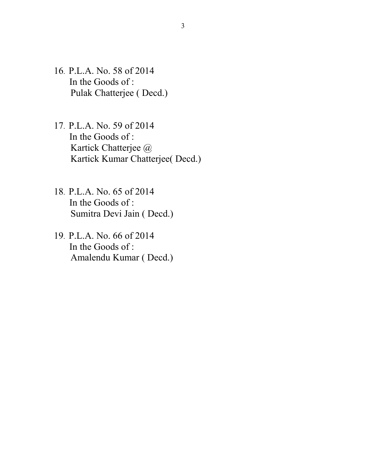- 16. P.L.A. No. 58 of 2014 In the Goods of : Pulak Chatterjee ( Decd.)
- 17. P.L.A. No. 59 of 2014 In the Goods of : Kartick Chatterjee @ Kartick Kumar Chatterjee( Decd.)
- 18. P.L.A. No. 65 of 2014 In the Goods of : Sumitra Devi Jain ( Decd.)
- 19. P.L.A. No. 66 of 2014 In the Goods of : Amalendu Kumar ( Decd.)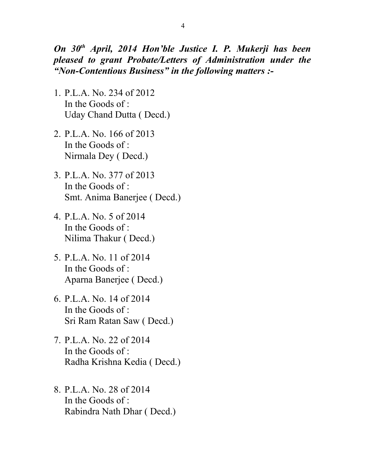*On 30th April, 2014 Hon'ble Justice I. P. Mukerji has been pleased to grant Probate/Letters of Administration under the "Non-Contentious Business" in the following matters :-*

- 1. P.L.A. No. 234 of 2012 In the Goods of : Uday Chand Dutta ( Decd.)
- 2. P.L.A. No. 166 of 2013 In the Goods of : Nirmala Dey ( Decd.)
- 3. P.L.A. No. 377 of 2013 In the Goods of : Smt. Anima Banerjee ( Decd.)
- 4. P.L.A. No. 5 of 2014 In the Goods of : Nilima Thakur ( Decd.)
- 5. P.L.A. No. 11 of 2014 In the Goods of : Aparna Banerjee ( Decd.)
- 6. P.L.A. No. 14 of 2014 In the Goods of : Sri Ram Ratan Saw ( Decd.)
- 7. P.L.A. No. 22 of 2014 In the Goods of : Radha Krishna Kedia ( Decd.)
- 8. P.L.A. No. 28 of 2014 In the Goods of : Rabindra Nath Dhar ( Decd.)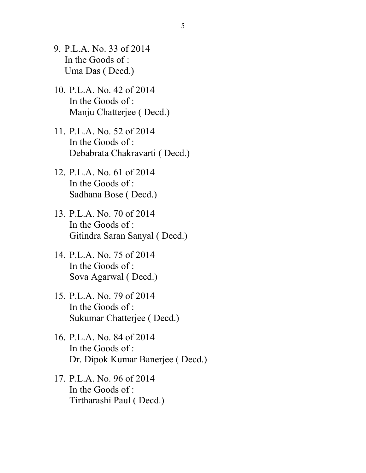- 9. P.L.A. No. 33 of 2014 In the Goods of : Uma Das ( Decd.)
- 10. P.L.A. No. 42 of 2014 In the Goods of : Manju Chatterjee ( Decd.)
- 11. P.L.A. No. 52 of 2014 In the Goods of : Debabrata Chakravarti ( Decd.)
- 12. P.L.A. No. 61 of 2014 In the Goods of : Sadhana Bose ( Decd.)
- 13. P.L.A. No. 70 of 2014 In the Goods of : Gitindra Saran Sanyal ( Decd.)
- 14. P.L.A. No. 75 of 2014 In the Goods of : Sova Agarwal ( Decd.)
- 15. P.L.A. No. 79 of 2014 In the Goods of : Sukumar Chatterjee ( Decd.)
- 16. P.L.A. No. 84 of 2014 In the Goods of : Dr. Dipok Kumar Banerjee ( Decd.)
- 17. P.L.A. No. 96 of 2014 In the Goods of : Tirtharashi Paul ( Decd.)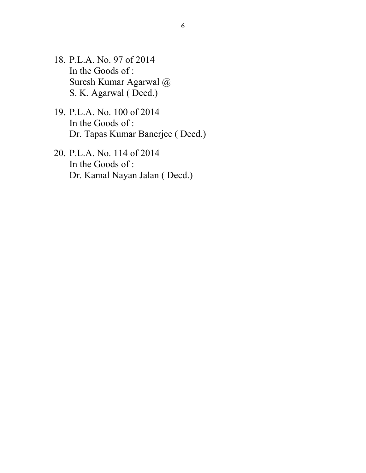- 18. P.L.A. No. 97 of 2014 In the Goods of : Suresh Kumar Agarwal @ S. K. Agarwal ( Decd.)
- 19. P.L.A. No. 100 of 2014 In the Goods of : Dr. Tapas Kumar Banerjee ( Decd.)
- 20. P.L.A. No. 114 of 2014 In the Goods of : Dr. Kamal Nayan Jalan ( Decd.)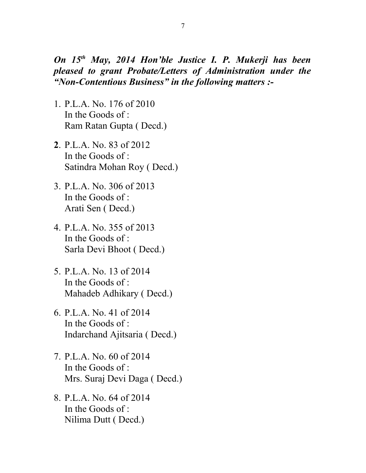*On 15th May, 2014 Hon'ble Justice I. P. Mukerji has been pleased to grant Probate/Letters of Administration under the "Non-Contentious Business" in the following matters :-*

- 1. P.L.A. No. 176 of 2010 In the Goods of : Ram Ratan Gupta ( Decd.)
- **2**. P.L.A. No. 83 of 2012 In the Goods of : Satindra Mohan Roy ( Decd.)
- 3. P.L.A. No. 306 of 2013 In the Goods of : Arati Sen ( Decd.)
- 4. P.L.A. No. 355 of 2013 In the Goods of : Sarla Devi Bhoot ( Decd.)
- 5. P.L.A. No. 13 of 2014 In the Goods of : Mahadeb Adhikary ( Decd.)
- 6. P.L.A. No. 41 of 2014 In the Goods of : Indarchand Ajitsaria ( Decd.)
- 7. P.L.A. No. 60 of 2014 In the Goods of : Mrs. Suraj Devi Daga ( Decd.)
- 8. P.L.A. No. 64 of 2014 In the Goods of : Nilima Dutt ( Decd.)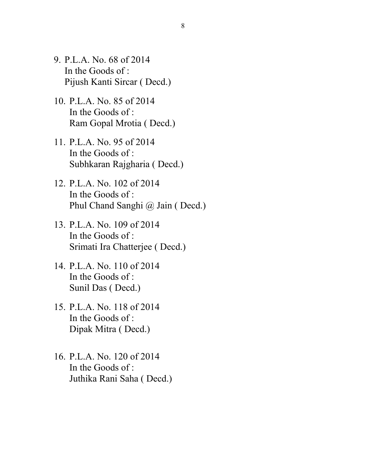- 9. P.L.A. No. 68 of 2014 In the Goods of : Pijush Kanti Sircar ( Decd.)
- 10. P.L.A. No. 85 of 2014 In the Goods of : Ram Gopal Mrotia ( Decd.)
- 11. P.L.A. No. 95 of 2014 In the Goods of : Subhkaran Rajgharia ( Decd.)
- 12. P.L.A. No. 102 of 2014 In the Goods of : Phul Chand Sanghi @ Jain ( Decd.)
- 13. P.L.A. No. 109 of 2014 In the Goods of : Srimati Ira Chatterjee ( Decd.)
- 14. P.L.A. No. 110 of 2014 In the Goods of : Sunil Das ( Decd.)
- 15. P.L.A. No. 118 of 2014 In the Goods of : Dipak Mitra ( Decd.)
- 16. P.L.A. No. 120 of 2014 In the Goods of : Juthika Rani Saha ( Decd.)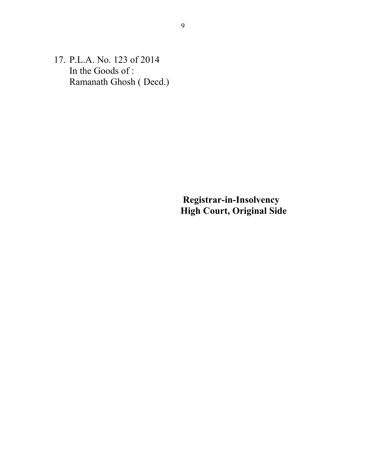17. P.L.A. No. 123 of 2014 In the Goods of : Ramanath Ghosh ( Decd.)

> **Registrar-in-Insolvency High Court, Original Side**